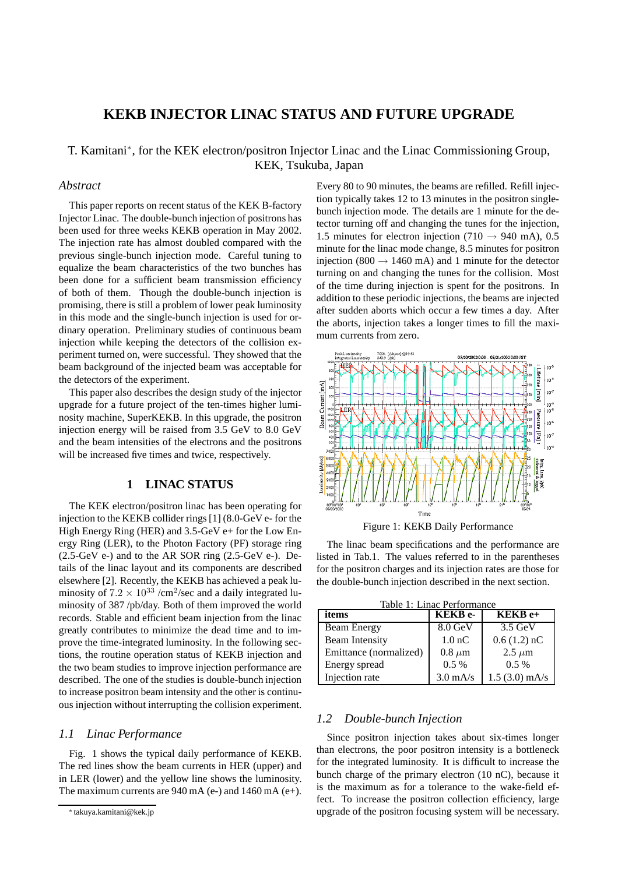# **KEKB INJECTOR LINAC STATUS AND FUTURE UPGRADE**

# T. Kamitani<sup>∗</sup> , for the KEK electron/positron Injector Linac and the Linac Commissioning Group, KEK, Tsukuba, Japan

# *Abstract*

This paper reports on recent status of the KEK B-factory Injector Linac. The double-bunch injection of positrons has been used for three weeks KEKB operation in May 2002. The injection rate has almost doubled compared with the previous single-bunch injection mode. Careful tuning to equalize the beam characteristics of the two bunches has been done for a sufficient beam transmission efficiency of both of them. Though the double-bunch injection is promising, there is still a problem of lower peak luminosity in this mode and the single-bunch injection is used for ordinary operation. Preliminary studies of continuous beam injection while keeping the detectors of the collision experiment turned on, were successful. They showed that the beam background of the injected beam was acceptable for the detectors of the experiment.

This paper also describes the design study of the injector upgrade for a future project of the ten-times higher luminosity machine, SuperKEKB. In this upgrade, the positron injection energy will be raised from 3.5 GeV to 8.0 GeV and the beam intensities of the electrons and the positrons will be increased five times and twice, respectively.

# **1 LINAC STATUS**

The KEK electron/positron linac has been operating for injection to the KEKB collider rings [1] (8.0-GeV e- for the High Energy Ring (HER) and 3.5-GeV e+ for the Low Energy Ring (LER), to the Photon Factory (PF) storage ring  $(2.5-GeV e^-)$  and to the AR SOR ring  $(2.5-GeV e^-)$ . Details of the linac layout and its components are described elsewhere [2]. Recently, the KEKB has achieved a peak luminosity of  $7.2 \times 10^{33}$  /cm<sup>2</sup>/sec and a daily integrated luminosity of 387 /pb/day. Both of them improved the world records. Stable and efficient beam injection from the linac greatly contributes to minimize the dead time and to improve the time-integrated luminosity. In the following sections, the routine operation status of KEKB injection and the two beam studies to improve injection performance are described. The one of the studies is double-bunch injection to increase positron beam intensity and the other is continuous injection without interrupting the collision experiment.

## *1.1 Linac Performance*

Fig. 1 shows the typical daily performance of KEKB. The red lines show the beam currents in HER (upper) and in LER (lower) and the yellow line shows the luminosity. The maximum currents are 940 mA (e-) and 1460 mA (e+). Every 80 to 90 minutes, the beams are refilled. Refill injection typically takes 12 to 13 minutes in the positron singlebunch injection mode. The details are 1 minute for the detector turning off and changing the tunes for the injection, 1.5 minutes for electron injection (710  $\rightarrow$  940 mA), 0.5 minute for the linac mode change, 8.5 minutes for positron injection (800  $\rightarrow$  1460 mA) and 1 minute for the detector turning on and changing the tunes for the collision. Most of the time during injection is spent for the positrons. In addition to these periodic injections, the beams are injected after sudden aborts which occur a few times a day. After the aborts, injection takes a longer times to fill the maximum currents from zero.



The linac beam specifications and the performance are listed in Tab.1. The values referred to in the parentheses for the positron charges and its injection rates are those for the double-bunch injection described in the next section.

| Table 1: Linac Performance |                   |                   |  |
|----------------------------|-------------------|-------------------|--|
| items                      | <b>KEKB</b> e-    | KEKB e+           |  |
| <b>Beam Energy</b>         | $8.0$ GeV         | $3.5 \text{ GeV}$ |  |
| <b>Beam Intensity</b>      | 1.0 <sub>nC</sub> | $0.6(1.2)$ nC     |  |
| Emittance (normalized)     | $0.8 \ \mu m$     | $2.5 \mu m$       |  |
| Energy spread              | 0.5%              | $0.5\%$           |  |
| Injection rate             | $3.0$ mA/s        | $1.5(3.0)$ mA/s   |  |

#### *1.2 Double-bunch Injection*

Since positron injection takes about six-times longer than electrons, the poor positron intensity is a bottleneck for the integrated luminosity. It is difficult to increase the bunch charge of the primary electron (10 nC), because it is the maximum as for a tolerance to the wake-field effect. To increase the positron collection efficiency, large upgrade of the positron focusing system will be necessary.

<sup>∗</sup> takuya.kamitani@kek.jp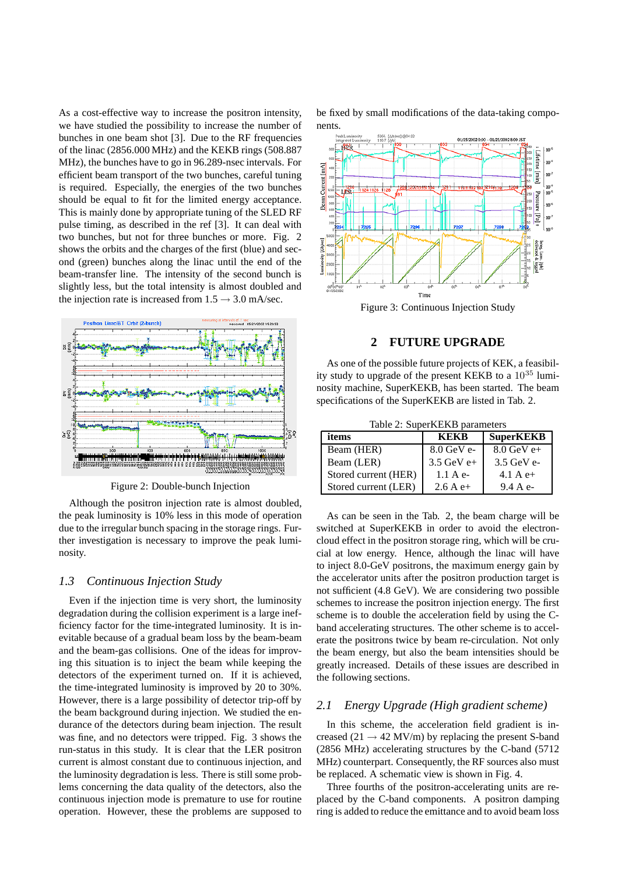As a cost-effective way to increase the positron intensity, we have studied the possibility to increase the number of bunches in one beam shot [3]. Due to the RF frequencies of the linac (2856.000 MHz) and the KEKB rings (508.887 MHz), the bunches have to go in 96.289-nsec intervals. For efficient beam transport of the two bunches, careful tuning is required. Especially, the energies of the two bunches should be equal to fit for the limited energy acceptance. This is mainly done by appropriate tuning of the SLED RF pulse timing, as described in the ref [3]. It can deal with two bunches, but not for three bunches or more. Fig. 2 shows the orbits and the charges of the first (blue) and second (green) bunches along the linac until the end of the beam-transfer line. The intensity of the second bunch is slightly less, but the total intensity is almost doubled and the injection rate is increased from  $1.5 \rightarrow 3.0$  mA/sec.



Figure 2: Double-bunch Injection

Although the positron injection rate is almost doubled, the peak luminosity is 10% less in this mode of operation due to the irregular bunch spacing in the storage rings. Further investigation is necessary to improve the peak luminosity.

#### *1.3 Continuous Injection Study*

Even if the injection time is very short, the luminosity degradation during the collision experiment is a large inefficiency factor for the time-integrated luminosity. It is inevitable because of a gradual beam loss by the beam-beam and the beam-gas collisions. One of the ideas for improving this situation is to inject the beam while keeping the detectors of the experiment turned on. If it is achieved, the time-integrated luminosity is improved by 20 to 30%. However, there is a large possibility of detector trip-off by the beam background during injection. We studied the endurance of the detectors during beam injection. The result was fine, and no detectors were tripped. Fig. 3 shows the run-status in this study. It is clear that the LER positron current is almost constant due to continuous injection, and the luminosity degradation is less. There is still some problems concerning the data quality of the detectors, also the continuous injection mode is premature to use for routine operation. However, these the problems are supposed to

be fixed by small modifications of the data-taking components.



Figure 3: Continuous Injection Study

### **2 FUTURE UPGRADE**

As one of the possible future projects of KEK, a feasibility study to upgrade of the present KEKB to a  $10^{35}$  luminosity machine, SuperKEKB, has been started. The beam specifications of the SuperKEKB are listed in Tab. 2.

Table 2: SuperKEKB parameters

| items                | <b>KEKR</b>  | <b>SuperKEKB</b> |
|----------------------|--------------|------------------|
| Beam (HER)           | $8.0$ GeV e- | $8.0$ GeV e+     |
| Beam (LER)           | $3.5$ GeV e+ | $3.5$ GeV e-     |
| Stored current (HER) | 1.1 A e      | 4.1 A $e+$       |
| Stored current (LER) | 2.6 A $e+$   | 9.4 A e          |

As can be seen in the Tab. 2, the beam charge will be switched at SuperKEKB in order to avoid the electroncloud effect in the positron storage ring, which will be crucial at low energy. Hence, although the linac will have to inject 8.0-GeV positrons, the maximum energy gain by the accelerator units after the positron production target is not sufficient (4.8 GeV). We are considering two possible schemes to increase the positron injection energy. The first scheme is to double the acceleration field by using the Cband accelerating structures. The other scheme is to accelerate the positrons twice by beam re-circulation. Not only the beam energy, but also the beam intensities should be greatly increased. Details of these issues are described in the following sections.

### *2.1 Energy Upgrade (High gradient scheme)*

In this scheme, the acceleration field gradient is increased (21  $\rightarrow$  42 MV/m) by replacing the present S-band (2856 MHz) accelerating structures by the C-band (5712 MHz) counterpart. Consequently, the RF sources also must be replaced. A schematic view is shown in Fig. 4.

Three fourths of the positron-accelerating units are replaced by the C-band components. A positron damping ring is added to reduce the emittance and to avoid beam loss